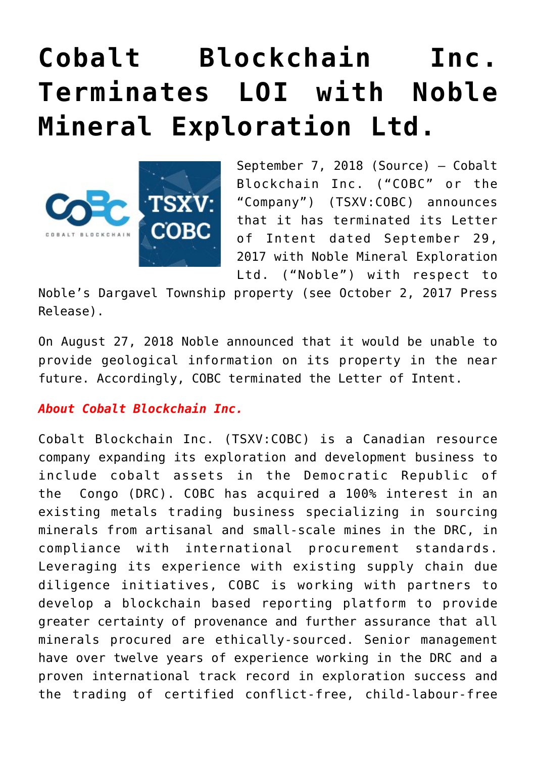## **[Cobalt Blockchain Inc.](https://investorintel.com/markets/technology-metals/technology-metals-news/cobalt-blockchain-inc-terminates-loi-noble-mineral-exploration-ltd/) [Terminates LOI with Noble](https://investorintel.com/markets/technology-metals/technology-metals-news/cobalt-blockchain-inc-terminates-loi-noble-mineral-exploration-ltd/) [Mineral Exploration Ltd.](https://investorintel.com/markets/technology-metals/technology-metals-news/cobalt-blockchain-inc-terminates-loi-noble-mineral-exploration-ltd/)**



September 7, 2018 [\(Source\)](https://investorintel.com/iintel-members/cobalt-blockchain-inc/) — Cobalt Blockchain Inc. ("COBC" or the "Company") (TSXV:COBC) announces that it has terminated its Letter of Intent dated September 29, 2017 with Noble Mineral Exploration Ltd. ("Noble") with respect to

Noble's Dargavel Township property (see October 2, 2017 Press Release).

On August 27, 2018 Noble announced that it would be unable to provide geological information on its property in the near future. Accordingly, COBC terminated the Letter of Intent.

## *About Cobalt Blockchain Inc.*

Cobalt Blockchain Inc. (TSXV:COBC) is a Canadian resource company expanding its exploration and development business to include cobalt assets in the Democratic Republic of the Congo (DRC). COBC has acquired a 100% interest in an existing metals trading business specializing in sourcing minerals from artisanal and small-scale mines in the DRC, in compliance with international procurement standards. Leveraging its experience with existing supply chain due diligence initiatives, COBC is working with partners to develop a blockchain based reporting platform to provide greater certainty of provenance and further assurance that all minerals procured are ethically-sourced. Senior management have over twelve years of experience working in the DRC and a proven international track record in exploration success and the trading of certified conflict-free, child-labour-free